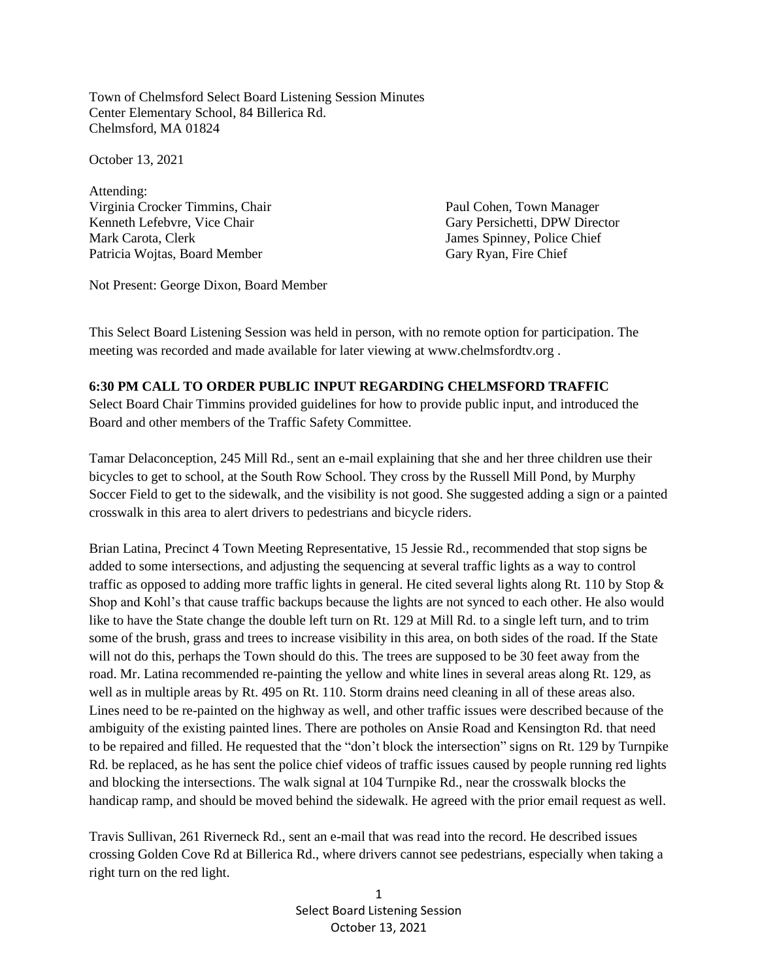Town of Chelmsford Select Board Listening Session Minutes Center Elementary School, 84 Billerica Rd. Chelmsford, MA 01824

October 13, 2021

Attending: Virginia Crocker Timmins, Chair Paul Cohen, Town Manager Kenneth Lefebvre, Vice Chair Gary Persichetti, DPW Director Mark Carota, Clerk James Spinney, Police Chief Patricia Wojtas, Board Member Gary Ryan, Fire Chief

Not Present: George Dixon, Board Member

This Select Board Listening Session was held in person, with no remote option for participation. The meeting was recorded and made available for later viewing at www.chelmsfordtv.org .

## **6:30 PM CALL TO ORDER PUBLIC INPUT REGARDING CHELMSFORD TRAFFIC**

Select Board Chair Timmins provided guidelines for how to provide public input, and introduced the Board and other members of the Traffic Safety Committee.

Tamar Delaconception, 245 Mill Rd., sent an e-mail explaining that she and her three children use their bicycles to get to school, at the South Row School. They cross by the Russell Mill Pond, by Murphy Soccer Field to get to the sidewalk, and the visibility is not good. She suggested adding a sign or a painted crosswalk in this area to alert drivers to pedestrians and bicycle riders.

Brian Latina, Precinct 4 Town Meeting Representative, 15 Jessie Rd., recommended that stop signs be added to some intersections, and adjusting the sequencing at several traffic lights as a way to control traffic as opposed to adding more traffic lights in general. He cited several lights along Rt. 110 by Stop & Shop and Kohl's that cause traffic backups because the lights are not synced to each other. He also would like to have the State change the double left turn on Rt. 129 at Mill Rd. to a single left turn, and to trim some of the brush, grass and trees to increase visibility in this area, on both sides of the road. If the State will not do this, perhaps the Town should do this. The trees are supposed to be 30 feet away from the road. Mr. Latina recommended re-painting the yellow and white lines in several areas along Rt. 129, as well as in multiple areas by Rt. 495 on Rt. 110. Storm drains need cleaning in all of these areas also. Lines need to be re-painted on the highway as well, and other traffic issues were described because of the ambiguity of the existing painted lines. There are potholes on Ansie Road and Kensington Rd. that need to be repaired and filled. He requested that the "don't block the intersection" signs on Rt. 129 by Turnpike Rd. be replaced, as he has sent the police chief videos of traffic issues caused by people running red lights and blocking the intersections. The walk signal at 104 Turnpike Rd., near the crosswalk blocks the handicap ramp, and should be moved behind the sidewalk. He agreed with the prior email request as well.

Travis Sullivan, 261 Riverneck Rd., sent an e-mail that was read into the record. He described issues crossing Golden Cove Rd at Billerica Rd., where drivers cannot see pedestrians, especially when taking a right turn on the red light.

> 1 Select Board Listening Session October 13, 2021